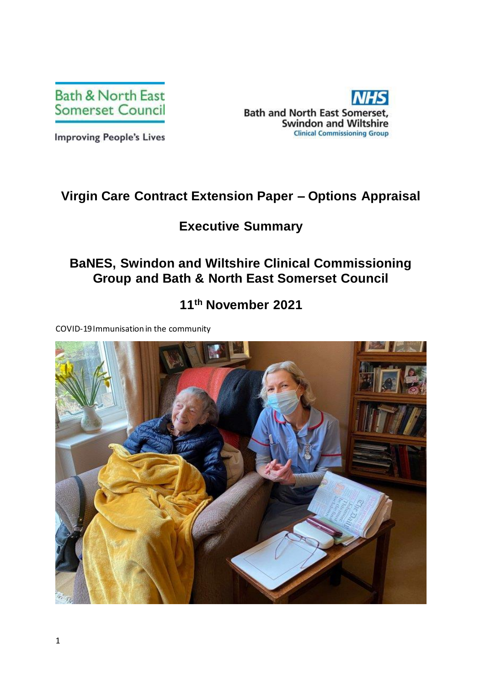

**Bath and North East Somerset, Swindon and Wiltshire Clinical Commissioning Group** 

**Improving People's Lives** 

# **Virgin Care Contract Extension Paper – Options Appraisal**

## **Executive Summary**

# **BaNES, Swindon and Wiltshire Clinical Commissioning Group and Bath & North East Somerset Council**

## **11th November 2021**

COVID-19 Immunisation in the community

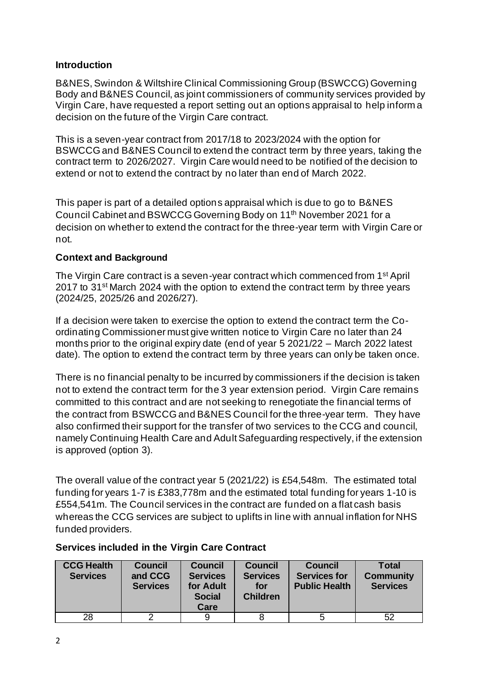### **Introduction**

B&NES, Swindon & Wiltshire Clinical Commissioning Group (BSWCCG) Governing Body and B&NES Council, as joint commissioners of community services provided by Virgin Care, have requested a report setting out an options appraisal to help inform a decision on the future of the Virgin Care contract.

This is a seven-year contract from 2017/18 to 2023/2024 with the option for BSWCCG and B&NES Council to extend the contract term by three years, taking the contract term to 2026/2027. Virgin Care would need to be notified of the decision to extend or not to extend the contract by no later than end of March 2022.

This paper is part of a detailed options appraisal which is due to go to B&NES Council Cabinet and BSWCCG Governing Body on 11th November 2021 for a decision on whether to extend the contract for the three-year term with Virgin Care or not.

#### **Context and Background**

The Virgin Care contract is a seven-year contract which commenced from 1st April 2017 to 31<sup>st</sup> March 2024 with the option to extend the contract term by three years (2024/25, 2025/26 and 2026/27).

If a decision were taken to exercise the option to extend the contract term the Coordinating Commissioner must give written notice to Virgin Care no later than 24 months prior to the original expiry date (end of year 5 2021/22 – March 2022 latest date). The option to extend the contract term by three years can only be taken once.

There is no financial penalty to be incurred by commissioners if the decision is taken not to extend the contract term for the 3 year extension period. Virgin Care remains committed to this contract and are not seeking to renegotiate the financial terms of the contract from BSWCCG and B&NES Council for the three-year term. They have also confirmed their support for the transfer of two services to the CCG and council, namely Continuing Health Care and Adult Safeguarding respectively, if the extension is approved (option 3).

The overall value of the contract year 5 (2021/22) is £54,548m. The estimated total funding for years 1-7 is £383,778m and the estimated total funding for years 1-10 is £554,541m. The Council services in the contract are funded on a flat cash basis whereas the CCG services are subject to uplifts in line with annual inflation for NHS funded providers.

| <b>CCG Health</b><br><b>Services</b> | <b>Council</b><br>and CCG<br><b>Services</b> | <b>Council</b><br><b>Services</b><br>for Adult<br><b>Social</b><br>Care | <b>Council</b><br><b>Services</b><br>for<br><b>Children</b> | <b>Council</b><br><b>Services for</b><br><b>Public Health</b> | Total<br><b>Community</b><br><b>Services</b> |
|--------------------------------------|----------------------------------------------|-------------------------------------------------------------------------|-------------------------------------------------------------|---------------------------------------------------------------|----------------------------------------------|
| 28                                   |                                              |                                                                         |                                                             | b                                                             | 52                                           |

### **Services included in the Virgin Care Contract**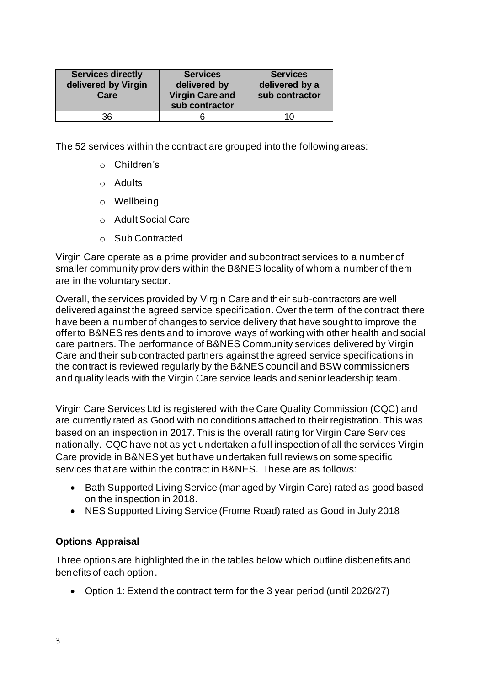| <b>Services directly</b><br>delivered by Virgin<br>Care | <b>Services</b><br>delivered by<br><b>Virgin Care and</b><br>sub contractor | <b>Services</b><br>delivered by a<br>sub contractor |
|---------------------------------------------------------|-----------------------------------------------------------------------------|-----------------------------------------------------|
| 36                                                      |                                                                             | 1 ( )                                               |

The 52 services within the contract are grouped into the following areas:

- o Children's
- o Adults
- o Wellbeing
- o Adult Social Care
- o Sub Contracted

Virgin Care operate as a prime provider and subcontract services to a number of smaller community providers within the B&NES locality of whom a number of them are in the voluntary sector.

Overall, the services provided by Virgin Care and their sub-contractors are well delivered against the agreed service specification. Over the term of the contract there have been a number of changes to service delivery that have sought to improve the offer to B&NES residents and to improve ways of working with other health and social care partners. The performance of B&NES Community services delivered by Virgin Care and their sub contracted partners against the agreed service specifications in the contract is reviewed regularly by the B&NES council and BSW commissioners and quality leads with the Virgin Care service leads and senior leadership team.

Virgin Care Services Ltd is registered with the Care Quality Commission (CQC) and are currently rated as Good with no conditions attached to their registration. This was based on an inspection in 2017. This is the overall rating for Virgin Care Services nationally. CQC have not as yet undertaken a full inspection of all the services Virgin Care provide in B&NES yet but have undertaken full reviews on some specific services that are within the contract in B&NES. These are as follows:

- Bath Supported Living Service (managed by Virgin Care) rated as good based on the inspection in 2018.
- NES Supported Living Service (Frome Road) rated as Good in July 2018

### **Options Appraisal**

Three options are highlighted the in the tables below which outline disbenefits and benefits of each option.

• Option 1: Extend the contract term for the 3 year period (until 2026/27)